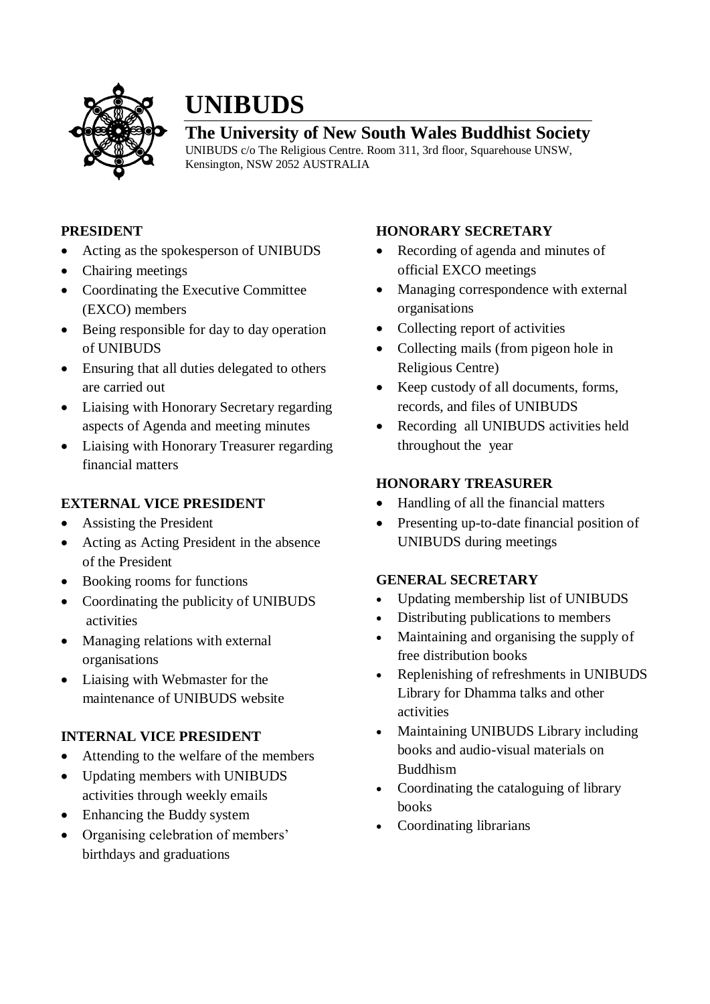

# **UNIBUDS**

# **The University of New South Wales Buddhist Society**

UNIBUDS c/o The Religious Centre. Room 311, 3rd floor, Squarehouse UNSW, Kensington, NSW 2052 AUSTRALIA

### **PRESIDENT**

- Acting as the spokesperson of UNIBUDS
- Chairing meetings
- Coordinating the Executive Committee (EXCO) members
- Being responsible for day to day operation of UNIBUDS
- Ensuring that all duties delegated to others are carried out
- Liaising with Honorary Secretary regarding aspects of Agenda and meeting minutes
- Liaising with Honorary Treasurer regarding financial matters

# **EXTERNAL VICE PRESIDENT**

- Assisting the President
- Acting as Acting President in the absence of the President
- Booking rooms for functions
- Coordinating the publicity of UNIBUDS activities
- Managing relations with external organisations
- Liaising with Webmaster for the maintenance of UNIBUDS website

# **INTERNAL VICE PRESIDENT**

- Attending to the welfare of the members
- Updating members with UNIBUDS activities through weekly emails
- Enhancing the Buddy system
- Organising celebration of members' birthdays and graduations

# **HONORARY SECRETARY**

- Recording of agenda and minutes of official EXCO meetings
- Managing correspondence with external organisations
- Collecting report of activities
- Collecting mails (from pigeon hole in Religious Centre)
- Keep custody of all documents, forms, records, and files of UNIBUDS
- Recording all UNIBUDS activities held throughout the year

# **HONORARY TREASURER**

- Handling of all the financial matters
- Presenting up-to-date financial position of UNIBUDS during meetings

#### **GENERAL SECRETARY**

- Updating membership list of UNIBUDS
- Distributing publications to members
- Maintaining and organising the supply of free distribution books
- Replenishing of refreshments in UNIBUDS Library for Dhamma talks and other activities
- Maintaining UNIBUDS Library including books and audio-visual materials on Buddhism
- Coordinating the cataloguing of library books
- Coordinating librarians